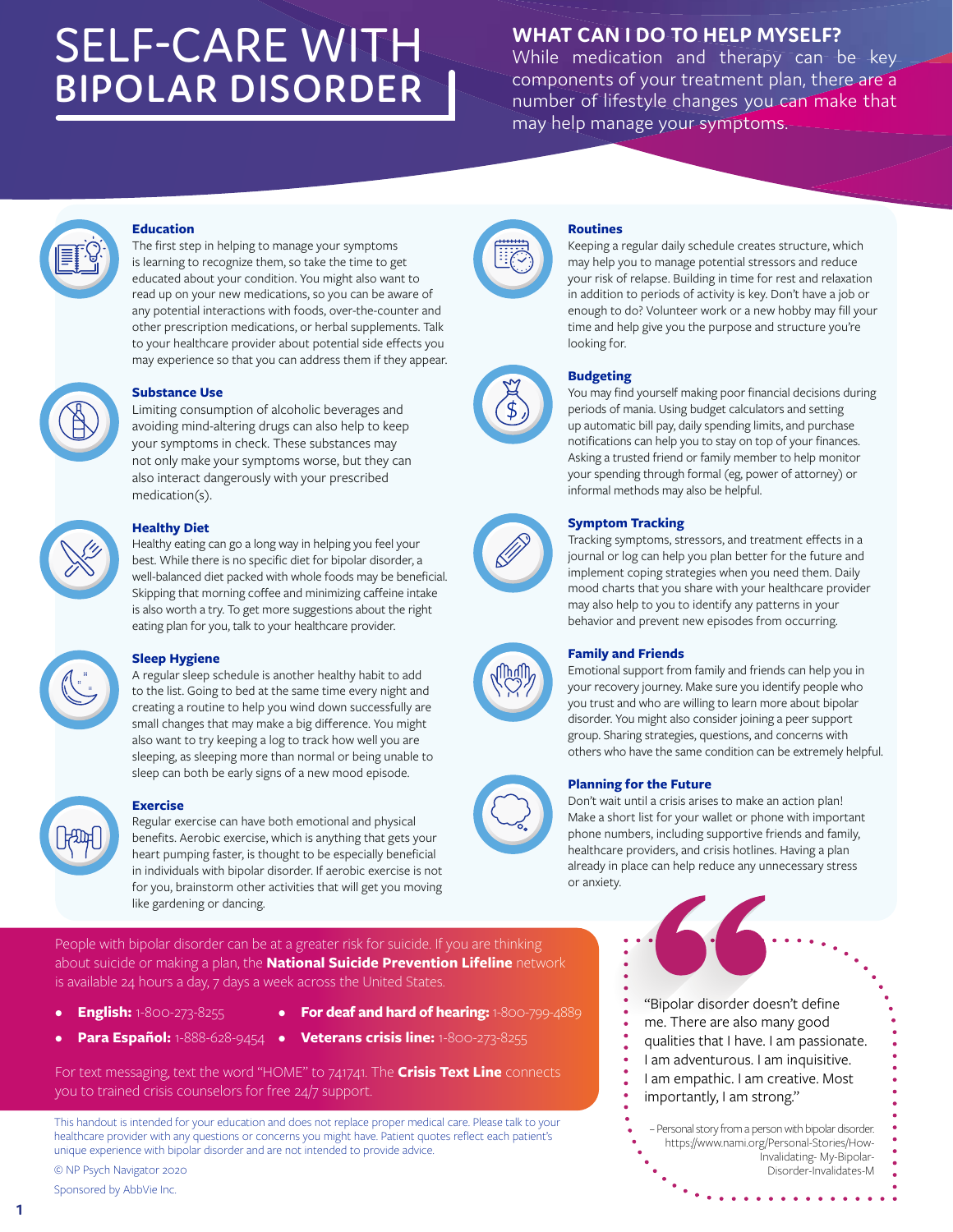# SELF-CARE WITH **BIPOLAR DISORDER**

# **WHAT CAN I DO TO HELP MYSELF?**

While medication and therapy can be key components of your treatment plan, there are a number of lifestyle changes you can make that may help manage your symptoms.

#### **Education**

The first step in helping to manage your symptoms is learning to recognize them, so take the time to get educated about your condition. You might also want to read up on your new medications, so you can be aware of any potential interactions with foods, over-the-counter and other prescription medications, or herbal supplements. Talk to your healthcare provider about potential side effects you may experience so that you can address them if they appear.



### **Substance Use**

Limiting consumption of alcoholic beverages and avoiding mind-altering drugs can also help to keep your symptoms in check. These substances may not only make your symptoms worse, but they can also interact dangerously with your prescribed medication(s).



#### **Healthy Diet**

Healthy eating can go a long way in helping you feel your best. While there is no specific diet for bipolar disorder, a well-balanced diet packed with whole foods may be beneficial. Skipping that morning coffee and minimizing caffeine intake is also worth a try. To get more suggestions about the right eating plan for you, talk to your healthcare provider.



#### **Sleep Hygiene**

A regular sleep schedule is another healthy habit to add to the list. Going to bed at the same time every night and creating a routine to help you wind down successfully are small changes that may make a big difference. You might also want to try keeping a log to track how well you are sleeping, as sleeping more than normal or being unable to sleep can both be early signs of a new mood episode.

#### **Exercise**

Regular exercise can have both emotional and physical benefits. Aerobic exercise, which is anything that gets your heart pumping faster, is thought to be especially beneficial in individuals with bipolar disorder. If aerobic exercise is not for you, brainstorm other activities that will get you moving like gardening or dancing.

People with bipolar disorder can be at a greater risk for suicide. If you are thinking about suicide or making a plan, the **National Suicide Prevention Lifeline** network is available 24 hours a day, 7 days a week across the United States.

- **English:** 1-800-273-8255
- • **For deaf and hard of hearing:** 1-800-799-4889
- **Para Español:** 1-888-628-9454 • **Veterans crisis line:** 1-800-273-8255

For text messaging, text the word "HOME" to 741741. The **Crisis Text Line** connects you to trained crisis counselors for free 24/7 support.

This handout is intended for your education and does not replace proper medical care. Please talk to your healthcare provider with any questions or concerns you might have. Patient quotes reflect each patient's unique experience with bipolar disorder and are not intended to provide advice.

© NP Psych Navigator 2020

Sponsored by AbbVie Inc.



#### **Routines**

Keeping a regular daily schedule creates structure, which may help you to manage potential stressors and reduce your risk of relapse. Building in time for rest and relaxation in addition to periods of activity is key. Don't have a job or enough to do? Volunteer work or a new hobby may fill your time and help give you the purpose and structure you're looking for.

#### **Budgeting**

You may find yourself making poor financial decisions during periods of mania. Using budget calculators and setting up automatic bill pay, daily spending limits, and purchase notifications can help you to stay on top of your finances. Asking a trusted friend or family member to help monitor your spending through formal (eg, power of attorney) or informal methods may also be helpful.



\$

#### **Symptom Tracking**

Tracking symptoms, stressors, and treatment effects in a journal or log can help you plan better for the future and implement coping strategies when you need them. Daily mood charts that you share with your healthcare provider may also help to you to identify any patterns in your behavior and prevent new episodes from occurring.

#### **Family and Friends**

Emotional support from family and friends can help you in your recovery journey. Make sure you identify people who you trust and who are willing to learn more about bipolar disorder. You might also consider joining a peer support group. Sharing strategies, questions, and concerns with others who have the same condition can be extremely helpful.

#### **Planning for the Future**

Don't wait until a crisis arises to make an action plan! Make a short list for your wallet or phone with important phone numbers, including supportive friends and family, healthcare providers, and crisis hotlines. Having a plan already in place can help reduce any unnecessary stress or anxiety.

"Bipolar disorder doesn't define

- me. There are also many good
- qualities that I have. I am passionate.
- I am adventurous. I am inquisitive.
- I am empathic. I am creative. Most
- importantly, I am strong."

– Personal story from a person with bipolar disorder. https://www.nami.org/Personal-Stories/How-Invalidating- My-Bipolar-Disorder-Invalidates-M